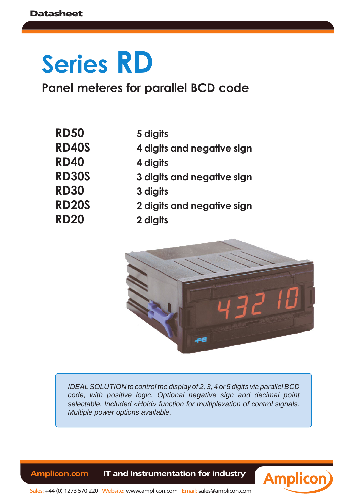# **Series RD**

**Panel meteres for parallel BCD code**

| <b>RD50</b>  |  |
|--------------|--|
| <b>RD40S</b> |  |
| <b>RD40</b>  |  |
| <b>RD30S</b> |  |
| <b>RD30</b>  |  |
| <b>RD20S</b> |  |
| RD20         |  |

- **RD50 5 digits**
- **RD40S 4 digits and negative sign**
	- **RD40 4 digits**
	- **RD30S 3 digits and negative sign**
	- **RD30 3 digits**
		- **RD20S 2 digits and negative sign**
		- **RD20 2 digits**



*IDEAL SOLUTION to control the display of 2, 3, 4 or 5 digits via parallel BCD code, with positive logic. Optional negative sign and decimal point selectable. Included «Hold» function for multiplexation of control signals. Multiple power options available.*

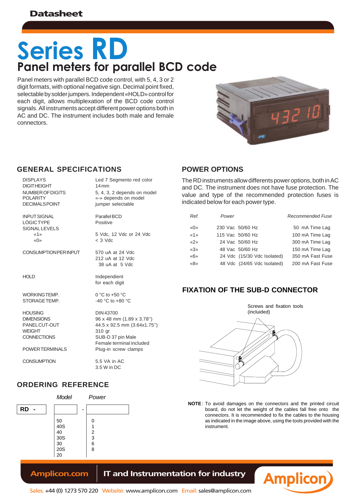## **Panel meters for parallel BCD code Series RD**

Panel meters with parallel BCD code control, with 5, 4, 3 or 2 digit formats, with optional negative sign. Decimal point fixed, selectable by solder jumpers. Independent «HOLD» control for each digit, allows multiplexation of the BCD code control signals. All instruments accept different power options both in AC and DC. The instrument includes both male and female connectors.



#### **GENERAL SPECIFICATIONS POWER OPTIONS**

| <b>DISPLAYS</b>       |
|-----------------------|
| <b>DIGITHEIGHT</b>    |
| NUMBER OF DIGITS      |
| <b>POI ARITY</b>      |
| <b>DECIMALS POINT</b> |
|                       |

 $SI$ 

Led 7 Segmento red color  $14$  mm 5, 4, 3, 2 depends on model «-» depends on model

jumper selectable

| <b>INPUT SIGNAL</b><br>LÓGIC TYPE<br><b>SIGNAL LEVELS</b>                            | Parallel BCD<br>Positive                                                                                                         |  |  |
|--------------------------------------------------------------------------------------|----------------------------------------------------------------------------------------------------------------------------------|--|--|
| $\kappa$ 1»<br>$\langle \langle \bigcap \rangle \rangle$                             | 5 Vdc. 12 Vdc or 24 Vdc<br>$<$ 3 Vdc                                                                                             |  |  |
| CONSUMPTION PER INPUT                                                                | 570 uA at 24 Vdc<br>212 uA at 12 Vdc<br>38 uA at 5 Vdc                                                                           |  |  |
| HOLD                                                                                 | Independient<br>for each digit                                                                                                   |  |  |
| WORKINGTEMP.<br>STORAGE TEMP.                                                        | $0^{\circ}$ C to +50 $^{\circ}$ C<br>$-40$ °C to $+80$ °C                                                                        |  |  |
| <b>HOUSING</b><br><b>DIMENSIONS</b><br>PANEL CUT-OUT<br>WEIGHT<br><b>CONNECTIONS</b> | DIN 43700<br>96 x 48 mm (1.89 x 3.78")<br>44.5 x 92.5 mm (3.64x1.75")<br>310 gr<br>SUB-D 37 pin Male<br>Female terminal included |  |  |
| POWER TERMINALS                                                                      | Plug-in screw clamps                                                                                                             |  |  |
| <b>CONSUMPTION</b>                                                                   | 5.5 VA in AC<br>3.5 W in DC                                                                                                      |  |  |

### **ORDERING REFERENCE**



The RD instruments allow differents power options, both in AC and DC. The instrument does not have fuse protection. The value and type of the recommended protection fuses is indicated below for each power type.

| Ref.                                        | Power |                             | <b>Recommended Fuse</b> |
|---------------------------------------------|-------|-----------------------------|-------------------------|
| $\langle\langle \mathbf{r} \rangle \rangle$ |       | 230 Vac 50/60 Hz            | 50 mA Time Lag          |
| $\ll 1$ »                                   |       | 115 Vac 50/60 Hz            | 100 mA Time Lag         |
| x2x                                         |       | 24 Vac 50/60 Hz             | 300 mA Time Lag         |
| $\langle 3 \rangle$                         |       | 48 Vac 50/60 Hz             | 150 mA Time Lag         |
| $\frac{1}{6}$                               |       | 24 Vdc (15/30 Vdc Isolated) | 350 mA Fast Fuse        |
| $\langle 8 \rangle$                         |       | 48 Vdc (24/65 Vdc Isolated) | 200 mA Fast Fuse        |

### **FIXATION OF THE SUB-D CONNECTOR**



**NOTE** : To avoid damages on the connectors and the printed circuit board, do not let the weight of the cables fall free onto the connectors. It is recommended to fix the cables to the housing as indicated in the image above, using the tools provided with the instrument.

**Amplicon**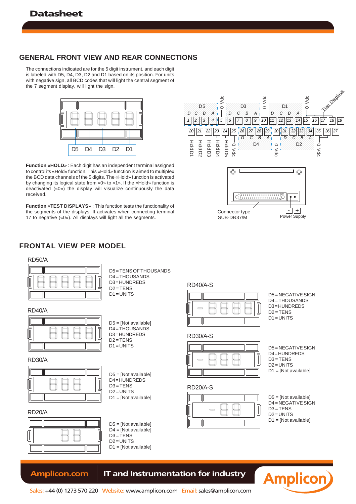#### **GENERAL FRONT VIEW AND REAR CONNECTIONS**

The connections indicated are for the 5 digit instrument, and each digit is labeled with D5, D4, D3, D2 and D1 based on its position. For units with negative sign, all BCD codes that will light the central segment of the 7 segment display, will light the sign.



**Function «HOLD»** : Each digit has an independent terminal assigned to control its «Hold» function. This «Hold» function is aimed to multiplex the BCD data channels of the 5 digits. The «Hold» function is activated by changing its logical state from «0» to «1». If the «Hold» function is deactivated («0») the display will visualize continuously the data received.

**Function «TEST DISPLAYS**» : This function tests the functionality of the segments of the displays. It activates when connecting terminal 17 to negative («0»). All displays will light all the segments.



#### **FRONTAL VIEW PER MODEL**

#### RD50/A



#### RD40/A



#### RD30/A



#### RD20/A



| $D4 = THOUSANDS$ |  |
|------------------|--|
| $D3 = HUNDREDS$  |  |
| $D2 = TENS$      |  |
| $D1 = UNITS$     |  |
|                  |  |
|                  |  |

D5 = TENS OF THOUSANDS

- D5 = [Not available] D4 = THOUSANDS D3 = HUNDREDS  $D2 = TENS$ D1 = UNITS
- D5 = [Not available]  $D4 = HUNDREDS$  $D3 = TENS$  $D2 = UNITS$ D1 = [Not available]
- 
- D5 = [Not available] D4 = [Not available]
- $D3 = TENS$  $D2 = UNITS$
- D1 = [Not available]

#### RD40/A-S



#### RD30/A-S



#### RD20/A-S



D5 = NEGATIVE SIGN D4 = HUNDREDS D3 = TENS  $D2 = UNITS$ D1 = [Not available]

D5 = NEGATIVE SIGN D4 = THOUSANDS D3 = HUNDREDS  $D2 = TFINS$  $D1 = UNITS$ 

#### D5 = [Not available] D4 = NEGATIVE SIGN  $D3 = TENS$ D2 = UNITS D1 = [Not available]

**Amplicon**